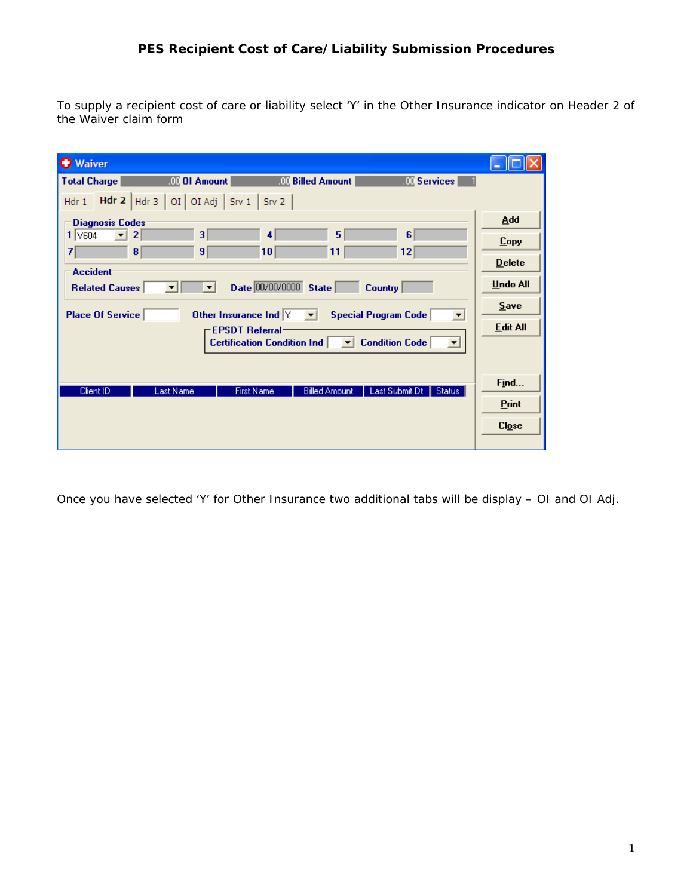To supply a recipient cost of care or liability select 'Y' in the Other Insurance indicator on Header 2 of the Waiver claim form

| <b>O</b> Waiver                                                                                                  |              |
|------------------------------------------------------------------------------------------------------------------|--------------|
| <b>III</b> OI Amount<br><b>III</b> Billed Amount<br><b>III</b> Services<br><b>Total Charge</b>                   |              |
| Hdr 2 $ $ Hdr 3 $ $<br>OI OI Adj $\int$ Srv 1 $\int$ Srv 2<br>Hdr <sub>1</sub>                                   |              |
| <b>Diagnosis Codes:</b>                                                                                          | Add          |
| 3<br>5<br>6<br>1 V604<br>$\overline{2}$<br>4                                                                     | <b>Copy</b>  |
| 7<br>8<br>9<br> 12 <br>10<br>11                                                                                  | $D$ elete    |
| <b>Accident</b><br>Date 00/00/0000 State<br><b>Related Causes</b><br><b>Country</b><br>$\blacktriangledown$<br>▼ | Undo All     |
| Other Insurance Ind $Y$<br>Place Of Service<br>Special Program Code<br>▼<br>▼                                    | Save         |
| <b>EPSDT Referral-</b>                                                                                           | Edit All     |
| <b>Condition Code</b><br><b>Certification Condition Ind</b><br>▾                                                 |              |
|                                                                                                                  |              |
| Last Submit Dt   Status  <br>Client ID<br><b>Last Name</b><br><b>First Name</b><br><b>Billed Amount</b>          | Find         |
|                                                                                                                  | <b>Print</b> |
|                                                                                                                  | $Clog$ e     |
|                                                                                                                  |              |

Once you have selected 'Y' for Other Insurance two additional tabs will be display – OI and OI Adj.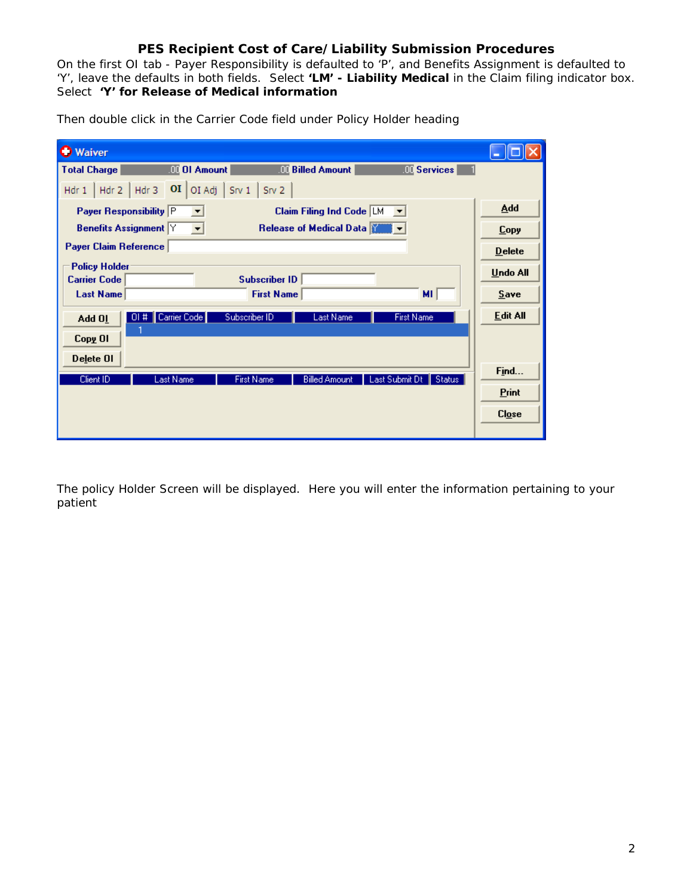On the first OI tab - Payer Responsibility is defaulted to 'P', and Benefits Assignment is defaulted to 'Y', leave the defaults in both fields. Select **'LM' - Liability Medical** in the Claim filing indicator box. Select **'Y' for Release of Medical information**

| <b>Waiver</b>                               |                                        |                                    |                                      |               |
|---------------------------------------------|----------------------------------------|------------------------------------|--------------------------------------|---------------|
| <b>Total Charge</b>                         | <b>QQ</b> OI Amount                    | <b>III</b> Billed Amount           | $100$ Services $\vert$               |               |
| Hdr 3<br>Hdr 2<br>Hdr 1                     | O <sub>I</sub><br>OI Adj<br>$S_{IV}$ 1 | Srv 2                              |                                      |               |
| Payer Responsibility P                      | ▼                                      | <b>Claim Filing Ind Code LM</b>    | $\blacktriangledown$                 | Add           |
| <b>Benefits Assignment Y</b>                |                                        | Release of Medical Data            |                                      | <b>Copy</b>   |
| Payer Claim Reference                       |                                        |                                    |                                      | <b>Delete</b> |
| <b>Policy Holder</b><br><b>Carrier Code</b> |                                        | <b>Subscriber ID</b>               |                                      | Undo All      |
| <b>Last Name</b>                            |                                        | <b>First Name</b>                  | MI.                                  | Save          |
| 01#<br>Add 01                               | Carrier Code<br>Subscriber ID          | <b>Last Name</b>                   | <b>First Name</b>                    | Edit All      |
| Copy OI                                     |                                        |                                    |                                      |               |
| Delete OI                                   |                                        |                                    |                                      |               |
| Client ID                                   | Last Name                              | First Name<br><b>Billed Amount</b> | Last Submit Dt<br>$\parallel$ Status | Find          |
|                                             |                                        |                                    |                                      | Print         |
|                                             |                                        |                                    |                                      | C <i>log</i>  |
|                                             |                                        |                                    |                                      |               |

Then double click in the Carrier Code field under Policy Holder heading

The policy Holder Screen will be displayed. Here you will enter the information pertaining to your patient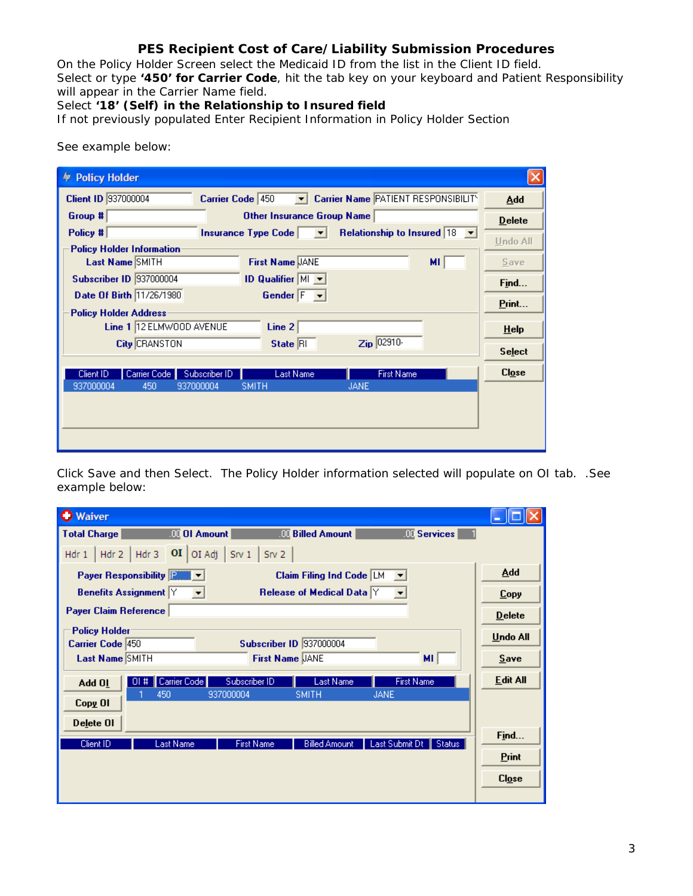On the Policy Holder Screen select the Medicaid ID from the list in the Client ID field. Select or type **'450' for Carrier Code**, hit the tab key on your keyboard and Patient Responsibility will appear in the Carrier Name field.

Select **'18' (Self) in the Relationship to Insured field**

If not previously populated Enter Recipient Information in Policy Holder Section

| <b>Policy Holder</b>                                                                |                 |
|-------------------------------------------------------------------------------------|-----------------|
| Client ID 937000004<br>Carrier Name PATIENT RESPONSIBILITY<br>Carrier Code 450      | Add             |
| Group #<br>Other Insurance Group Name                                               | $D$ elete       |
| Relationship to Insured 18<br>Policy #<br>Insurance Type Code $\vert \quad \vert$   | <b>Undo All</b> |
| <b>Policy Holder Information</b>                                                    |                 |
| Last Name SMITH<br><b>First Name JANE</b><br>мı                                     | Save            |
| <b>Subscriber ID 937000004</b><br><b>ID Qualifier <math>M_{\bullet}</math></b>      | Find            |
| Date Of Birth 11/26/1980<br>Gender $F \rightarrow$                                  | Print           |
| <b>Policy Holder Address</b>                                                        |                 |
| Line 1 12 ELMWOOD AVENUE<br>Line 2                                                  | $He$ lp         |
| Zip 02910-<br><b>City CRANSTON</b><br>State RI                                      |                 |
|                                                                                     | <b>Select</b>   |
| <b>First Name</b><br>Carrier Code<br>Subscriber ID<br><b>Last Name</b><br>Client ID | $Clog$ e        |
| 937000004<br>937000004<br><b>SMITH</b><br>450<br><b>JANE</b>                        |                 |
|                                                                                     |                 |
|                                                                                     |                 |
|                                                                                     |                 |
|                                                                                     |                 |
|                                                                                     |                 |

See example below:

Click Save and then Select. The Policy Holder information selected will populate on OI tab. .See example below:

| <b>Waiver</b>                                                                                         | $\  \_ \  \square \  \times$      |
|-------------------------------------------------------------------------------------------------------|-----------------------------------|
| <b>Total Charge</b><br><b>WE OI Amount</b><br><b>III</b> Billed Amount<br><b>OC</b> Services          |                                   |
| Hdr 1   Hdr 2   Hdr 3   $\overline{OI}$   OI Adj   Srv 1   Srv 2                                      |                                   |
| Payer Responsibility <b>FANNEY</b><br>Claim Filing Ind Code $ M $                                     | <b>Add</b>                        |
| Release of Medical Data Y<br><b>Benefits Assignment Y</b>                                             | <b>Copy</b>                       |
| Payer Claim Reference                                                                                 | <b>Delete</b>                     |
| <b>Policy Holder</b><br>Carrier Code 450<br><b>Subscriber ID 337000004</b>                            | <b>Undo All</b>                   |
| <b>Last Name SMITH</b><br><b>First Name JANE</b><br>MI.                                               | Save                              |
| Carrier Code<br>Subscriber ID<br>Last Name<br><b>First Name</b><br>$01$ #<br>Add 01                   | <b>Edit All</b>                   |
| <b>SMITH</b><br>450<br>937000004<br><b>JANE</b><br>Copy OI                                            |                                   |
| Delete OI                                                                                             |                                   |
| Client ID<br><b>Last Name</b><br><b>Billed Amount</b><br>Last Submit Dt   Status<br><b>First Name</b> | Find                              |
|                                                                                                       | Print                             |
|                                                                                                       | C <i>l</i> <sub>0</sub> <i>se</i> |
|                                                                                                       |                                   |